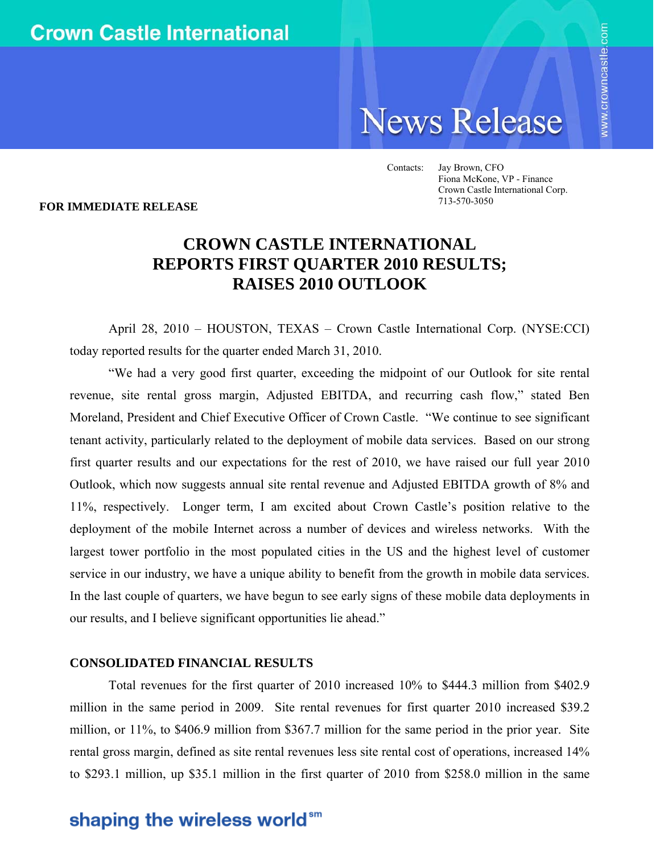# **News Release**

Contacts: Jay Brown, CFO Fiona McKone, VP - Finance Crown Castle International Corp. 713-570-3050

**FOR IMMEDIATE RELEASE** 

### **CROWN CASTLE INTERNATIONAL REPORTS FIRST QUARTER 2010 RESULTS; RAISES 2010 OUTLOOK**

April 28, 2010 – HOUSTON, TEXAS – Crown Castle International Corp. (NYSE:CCI) today reported results for the quarter ended March 31, 2010.

"We had a very good first quarter, exceeding the midpoint of our Outlook for site rental revenue, site rental gross margin, Adjusted EBITDA, and recurring cash flow," stated Ben Moreland, President and Chief Executive Officer of Crown Castle. "We continue to see significant tenant activity, particularly related to the deployment of mobile data services. Based on our strong first quarter results and our expectations for the rest of 2010, we have raised our full year 2010 Outlook, which now suggests annual site rental revenue and Adjusted EBITDA growth of 8% and 11%, respectively. Longer term, I am excited about Crown Castle's position relative to the deployment of the mobile Internet across a number of devices and wireless networks. With the largest tower portfolio in the most populated cities in the US and the highest level of customer service in our industry, we have a unique ability to benefit from the growth in mobile data services. In the last couple of quarters, we have begun to see early signs of these mobile data deployments in our results, and I believe significant opportunities lie ahead."

### **CONSOLIDATED FINANCIAL RESULTS**

Total revenues for the first quarter of 2010 increased 10% to \$444.3 million from \$402.9 million in the same period in 2009. Site rental revenues for first quarter 2010 increased \$39.2 million, or 11%, to \$406.9 million from \$367.7 million for the same period in the prior year. Site rental gross margin, defined as site rental revenues less site rental cost of operations, increased 14% to \$293.1 million, up \$35.1 million in the first quarter of 2010 from \$258.0 million in the same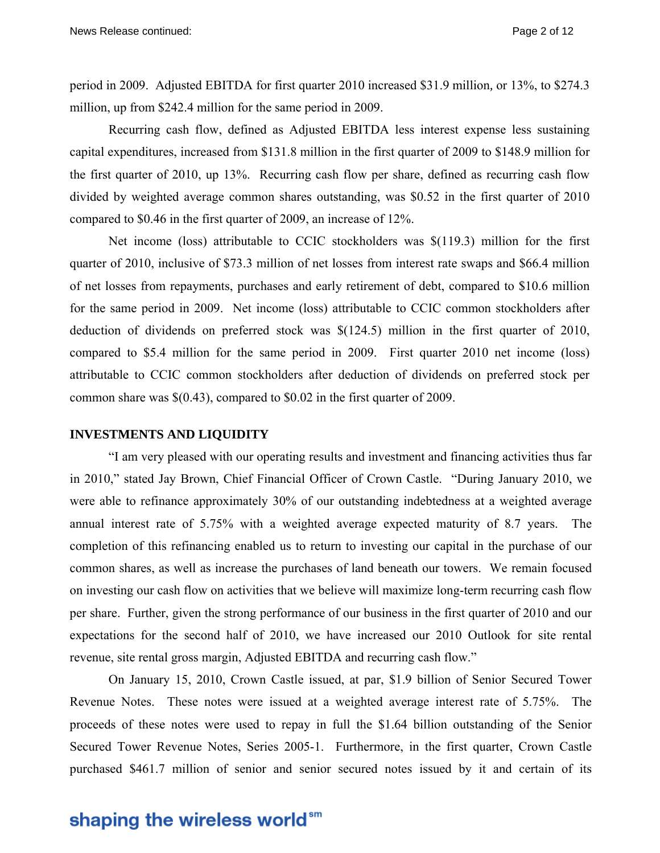period in 2009. Adjusted EBITDA for first quarter 2010 increased \$31.9 million*,* or 13%, to \$274.3 million, up from \$242.4 million for the same period in 2009.

Recurring cash flow, defined as Adjusted EBITDA less interest expense less sustaining capital expenditures, increased from \$131.8 million in the first quarter of 2009 to \$148.9 million for the first quarter of 2010, up 13%. Recurring cash flow per share, defined as recurring cash flow divided by weighted average common shares outstanding, was \$0.52 in the first quarter of 2010 compared to \$0.46 in the first quarter of 2009, an increase of 12%.

Net income (loss) attributable to CCIC stockholders was \$(119.3) million for the first quarter of 2010, inclusive of \$73.3 million of net losses from interest rate swaps and \$66.4 million of net losses from repayments, purchases and early retirement of debt, compared to \$10.6 million for the same period in 2009. Net income (loss) attributable to CCIC common stockholders after deduction of dividends on preferred stock was \$(124.5) million in the first quarter of 2010, compared to \$5.4 million for the same period in 2009. First quarter 2010 net income (loss) attributable to CCIC common stockholders after deduction of dividends on preferred stock per common share was \$(0.43), compared to \$0.02 in the first quarter of 2009.

#### **INVESTMENTS AND LIQUIDITY**

"I am very pleased with our operating results and investment and financing activities thus far in 2010," stated Jay Brown, Chief Financial Officer of Crown Castle. "During January 2010, we were able to refinance approximately 30% of our outstanding indebtedness at a weighted average annual interest rate of 5.75% with a weighted average expected maturity of 8.7 years. The completion of this refinancing enabled us to return to investing our capital in the purchase of our common shares, as well as increase the purchases of land beneath our towers. We remain focused on investing our cash flow on activities that we believe will maximize long-term recurring cash flow per share. Further, given the strong performance of our business in the first quarter of 2010 and our expectations for the second half of 2010, we have increased our 2010 Outlook for site rental revenue, site rental gross margin, Adjusted EBITDA and recurring cash flow."

On January 15, 2010, Crown Castle issued, at par, \$1.9 billion of Senior Secured Tower Revenue Notes. These notes were issued at a weighted average interest rate of 5.75%. The proceeds of these notes were used to repay in full the \$1.64 billion outstanding of the Senior Secured Tower Revenue Notes, Series 2005-1. Furthermore, in the first quarter, Crown Castle purchased \$461.7 million of senior and senior secured notes issued by it and certain of its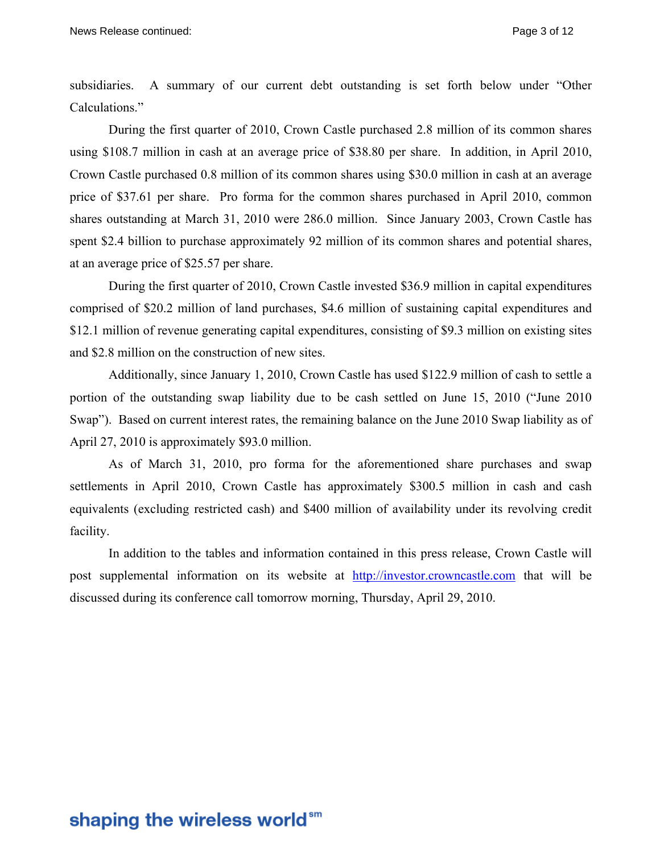subsidiaries. A summary of our current debt outstanding is set forth below under "Other Calculations."

During the first quarter of 2010, Crown Castle purchased 2.8 million of its common shares using \$108.7 million in cash at an average price of \$38.80 per share. In addition, in April 2010, Crown Castle purchased 0.8 million of its common shares using \$30.0 million in cash at an average price of \$37.61 per share. Pro forma for the common shares purchased in April 2010, common shares outstanding at March 31, 2010 were 286.0 million. Since January 2003, Crown Castle has spent \$2.4 billion to purchase approximately 92 million of its common shares and potential shares, at an average price of \$25.57 per share.

During the first quarter of 2010, Crown Castle invested \$36.9 million in capital expenditures comprised of \$20.2 million of land purchases, \$4.6 million of sustaining capital expenditures and \$12.1 million of revenue generating capital expenditures, consisting of \$9.3 million on existing sites and \$2.8 million on the construction of new sites.

Additionally, since January 1, 2010, Crown Castle has used \$122.9 million of cash to settle a portion of the outstanding swap liability due to be cash settled on June 15, 2010 ("June 2010 Swap"). Based on current interest rates, the remaining balance on the June 2010 Swap liability as of April 27, 2010 is approximately \$93.0 million.

As of March 31, 2010, pro forma for the aforementioned share purchases and swap settlements in April 2010, Crown Castle has approximately \$300.5 million in cash and cash equivalents (excluding restricted cash) and \$400 million of availability under its revolving credit facility.

In addition to the tables and information contained in this press release, Crown Castle will post supplemental information on its website at http://investor.crowncastle.com that will be discussed during its conference call tomorrow morning, Thursday, April 29, 2010.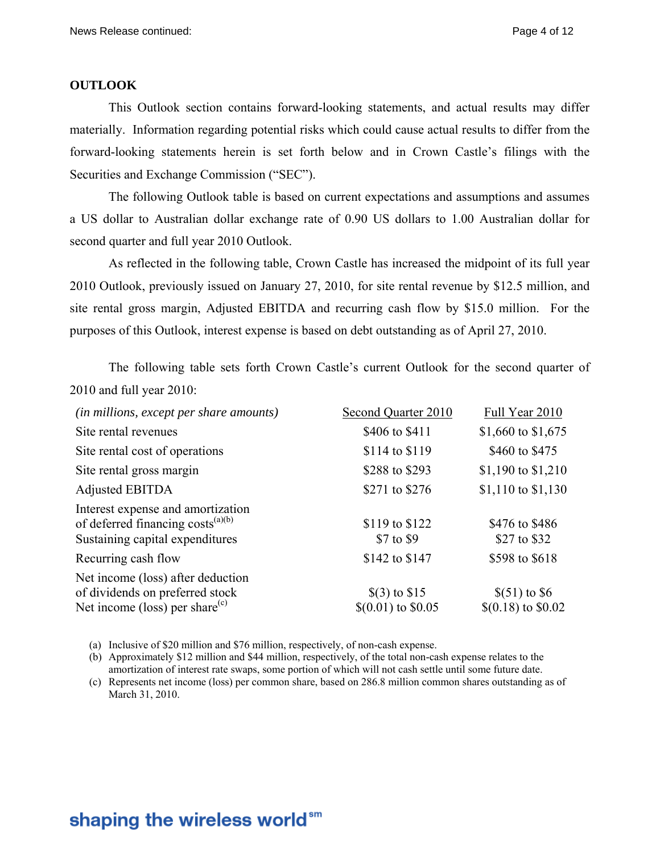### **OUTLOOK**

This Outlook section contains forward-looking statements, and actual results may differ materially. Information regarding potential risks which could cause actual results to differ from the forward-looking statements herein is set forth below and in Crown Castle's filings with the Securities and Exchange Commission ("SEC").

The following Outlook table is based on current expectations and assumptions and assumes a US dollar to Australian dollar exchange rate of 0.90 US dollars to 1.00 Australian dollar for second quarter and full year 2010 Outlook.

As reflected in the following table, Crown Castle has increased the midpoint of its full year 2010 Outlook, previously issued on January 27, 2010, for site rental revenue by \$12.5 million, and site rental gross margin, Adjusted EBITDA and recurring cash flow by \$15.0 million. For the purposes of this Outlook, interest expense is based on debt outstanding as of April 27, 2010.

The following table sets forth Crown Castle's current Outlook for the second quarter of 2010 and full year 2010:

| (in millions, except per share amounts)                                                                               | Second Quarter 2010                      | Full Year 2010                         |
|-----------------------------------------------------------------------------------------------------------------------|------------------------------------------|----------------------------------------|
| Site rental revenues                                                                                                  | \$406 to \$411                           | \$1,660 to \$1,675                     |
| Site rental cost of operations                                                                                        | \$114 to \$119                           | \$460 to \$475                         |
| Site rental gross margin                                                                                              | \$288 to \$293                           | \$1,190 to $$1,210$                    |
| Adjusted EBITDA                                                                                                       | \$271 to \$276                           | $$1,110$ to $$1,130$                   |
| Interest expense and amortization<br>of deferred financing costs <sup>(a)(b)</sup><br>Sustaining capital expenditures | \$119 to \$122<br>\$7 to \$9             | \$476 to \$486<br>\$27 to \$32         |
| Recurring cash flow                                                                                                   | \$142 to \$147                           | \$598 to \$618                         |
| Net income (loss) after deduction<br>of dividends on preferred stock<br>Net income (loss) per share <sup>(c)</sup>    | $\$(3)$ to $\$15$<br>$$(0.01)$ to \$0.05 | $$(51)$ to \$6<br>$$(0.18)$ to $$0.02$ |

(a) Inclusive of \$20 million and \$76 million, respectively, of non-cash expense.

(b) Approximately \$12 million and \$44 million, respectively, of the total non-cash expense relates to the amortization of interest rate swaps, some portion of which will not cash settle until some future date.

(c) Represents net income (loss) per common share, based on 286.8 million common shares outstanding as of March 31, 2010.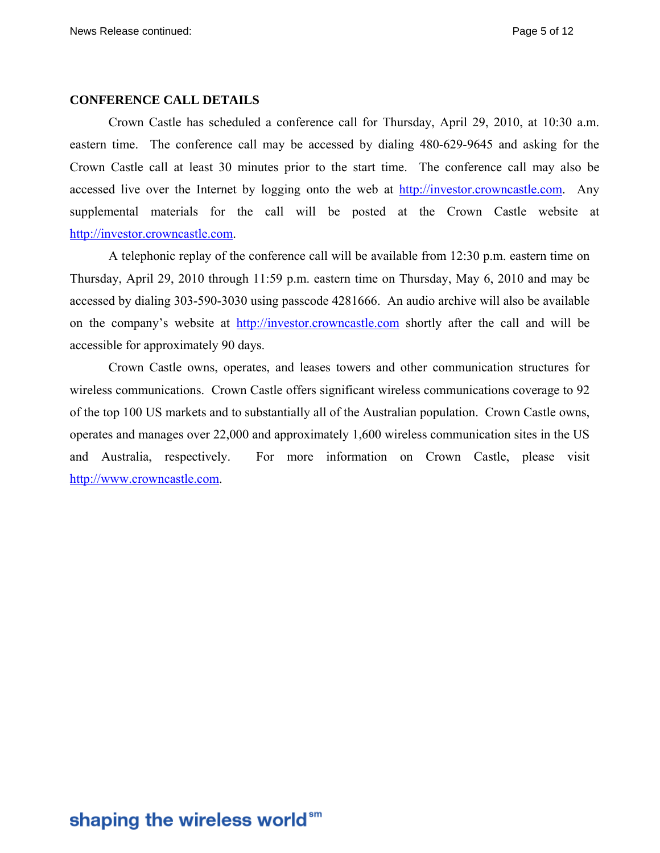### **CONFERENCE CALL DETAILS**

Crown Castle has scheduled a conference call for Thursday, April 29, 2010, at 10:30 a.m. eastern time. The conference call may be accessed by dialing 480-629-9645 and asking for the Crown Castle call at least 30 minutes prior to the start time. The conference call may also be accessed live over the Internet by logging onto the web at http://investor.crowncastle.com. Any supplemental materials for the call will be posted at the Crown Castle website at http://investor.crowncastle.com.

A telephonic replay of the conference call will be available from 12:30 p.m. eastern time on Thursday, April 29, 2010 through 11:59 p.m. eastern time on Thursday, May 6, 2010 and may be accessed by dialing 303-590-3030 using passcode 4281666. An audio archive will also be available on the company's website at http://investor.crowncastle.com shortly after the call and will be accessible for approximately 90 days.

Crown Castle owns, operates, and leases towers and other communication structures for wireless communications. Crown Castle offers significant wireless communications coverage to 92 of the top 100 US markets and to substantially all of the Australian population. Crown Castle owns, operates and manages over 22,000 and approximately 1,600 wireless communication sites in the US and Australia, respectively. For more information on Crown Castle, please visit http://www.crowncastle.com.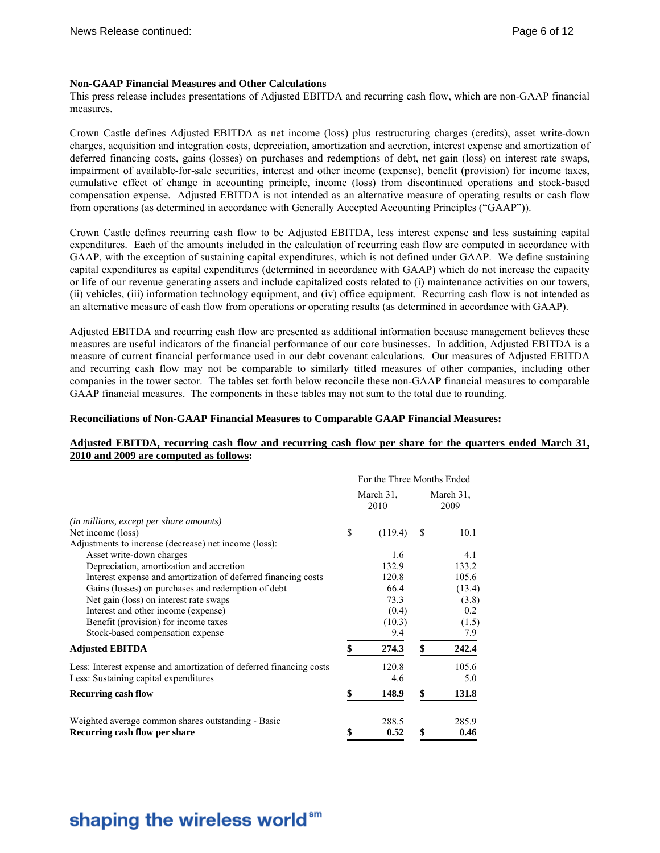#### **Non-GAAP Financial Measures and Other Calculations**

This press release includes presentations of Adjusted EBITDA and recurring cash flow, which are non-GAAP financial measures.

Crown Castle defines Adjusted EBITDA as net income (loss) plus restructuring charges (credits), asset write-down charges, acquisition and integration costs, depreciation, amortization and accretion, interest expense and amortization of deferred financing costs, gains (losses) on purchases and redemptions of debt, net gain (loss) on interest rate swaps, impairment of available-for-sale securities, interest and other income (expense), benefit (provision) for income taxes, cumulative effect of change in accounting principle, income (loss) from discontinued operations and stock-based compensation expense. Adjusted EBITDA is not intended as an alternative measure of operating results or cash flow from operations (as determined in accordance with Generally Accepted Accounting Principles ("GAAP")).

Crown Castle defines recurring cash flow to be Adjusted EBITDA, less interest expense and less sustaining capital expenditures. Each of the amounts included in the calculation of recurring cash flow are computed in accordance with GAAP, with the exception of sustaining capital expenditures, which is not defined under GAAP. We define sustaining capital expenditures as capital expenditures (determined in accordance with GAAP) which do not increase the capacity or life of our revenue generating assets and include capitalized costs related to (i) maintenance activities on our towers, (ii) vehicles, (iii) information technology equipment, and (iv) office equipment. Recurring cash flow is not intended as an alternative measure of cash flow from operations or operating results (as determined in accordance with GAAP).

Adjusted EBITDA and recurring cash flow are presented as additional information because management believes these measures are useful indicators of the financial performance of our core businesses. In addition, Adjusted EBITDA is a measure of current financial performance used in our debt covenant calculations. Our measures of Adjusted EBITDA and recurring cash flow may not be comparable to similarly titled measures of other companies, including other companies in the tower sector. The tables set forth below reconcile these non-GAAP financial measures to comparable GAAP financial measures. The components in these tables may not sum to the total due to rounding.

#### **Reconciliations of Non-GAAP Financial Measures to Comparable GAAP Financial Measures:**

#### **Adjusted EBITDA, recurring cash flow and recurring cash flow per share for the quarters ended March 31, 2010 and 2009 are computed as follows:**

|                                                                     | For the Three Months Ended |         |    |                   |
|---------------------------------------------------------------------|----------------------------|---------|----|-------------------|
|                                                                     | March 31,<br>2010          |         |    | March 31,<br>2009 |
| <i>(in millions, except per share amounts)</i>                      |                            |         |    |                   |
| Net income (loss)                                                   | \$                         | (119.4) | S  | 10.1              |
| Adjustments to increase (decrease) net income (loss):               |                            |         |    |                   |
| Asset write-down charges                                            |                            | 1.6     |    | 4.1               |
| Depreciation, amortization and accretion                            |                            | 132.9   |    | 133.2             |
| Interest expense and amortization of deferred financing costs       |                            | 120.8   |    | 105.6             |
| Gains (losses) on purchases and redemption of debt                  |                            | 66.4    |    | (13.4)            |
| Net gain (loss) on interest rate swaps                              |                            | 73.3    |    | (3.8)             |
| Interest and other income (expense)                                 |                            | (0.4)   |    | 0.2               |
| Benefit (provision) for income taxes                                |                            | (10.3)  |    | (1.5)             |
| Stock-based compensation expense                                    |                            | 9.4     |    | 7.9               |
| <b>Adjusted EBITDA</b>                                              |                            | 274.3   | \$ | 242.4             |
| Less: Interest expense and amortization of deferred financing costs |                            | 120.8   |    | 105.6             |
| Less: Sustaining capital expenditures                               |                            | 4.6     |    | 5.0               |
| <b>Recurring cash flow</b>                                          |                            | 148.9   | \$ | 131.8             |
| Weighted average common shares outstanding - Basic                  |                            | 288.5   |    | 285.9             |
| Recurring cash flow per share                                       | \$                         | 0.52    | \$ | 0.46              |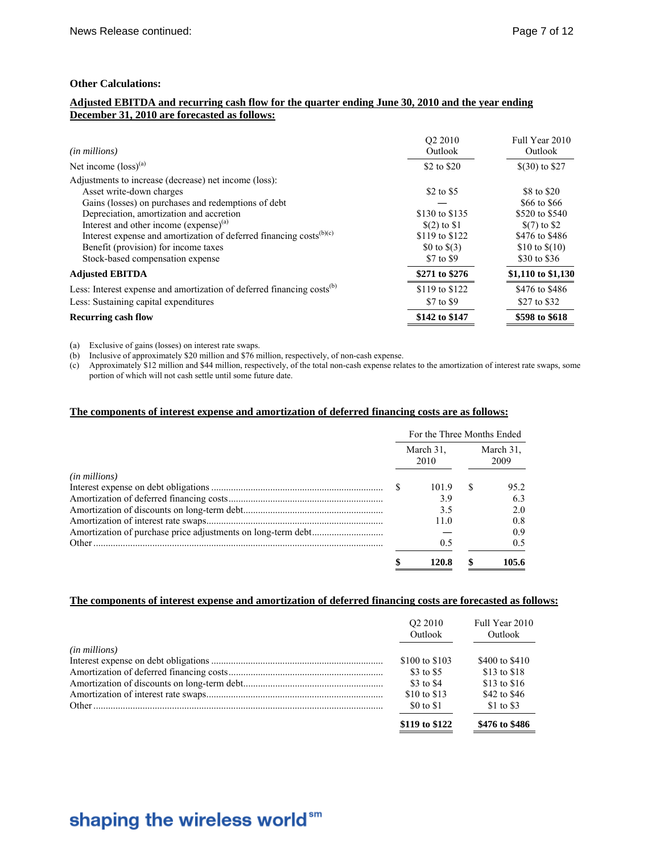#### **Other Calculations:**

#### **Adjusted EBITDA and recurring cash flow for the quarter ending June 30, 2010 and the year ending December 31, 2010 are forecasted as follows:**

| ( <i>in millions</i> )                                                             | O <sub>2</sub> 2010<br>Outlook | Full Year 2010<br>Outlook |
|------------------------------------------------------------------------------------|--------------------------------|---------------------------|
| Net income $(logs)$ <sup>(a)</sup>                                                 | \$2 to \$20                    | $$(30)$ to \$27           |
| Adjustments to increase (decrease) net income (loss):                              |                                |                           |
| Asset write-down charges                                                           | \$2 to \$5                     | \$8 to \$20               |
| Gains (losses) on purchases and redemptions of debt                                |                                | \$66 to \$66              |
| Depreciation, amortization and accretion                                           | \$130 to \$135                 | \$520 to \$540            |
| Interest and other income $(expense)^{(a)}$                                        | $(2)$ to \$1                   | $(7)$ to \$2              |
| Interest expense and amortization of deferred financing costs $(b)(c)$             | \$119 to \$122                 | \$476 to \$486            |
| Benefit (provision) for income taxes                                               | \$0 to $$(3)$                  | \$10 to $$(10)$           |
| Stock-based compensation expense                                                   | \$7 to \$9                     | \$30 to \$36              |
| <b>Adjusted EBITDA</b>                                                             | \$271 to \$276                 | \$1,110 to \$1,130        |
| Less: Interest expense and amortization of deferred financing costs <sup>(b)</sup> | \$119 to \$122                 | \$476 to \$486            |
| Less: Sustaining capital expenditures                                              | \$7 to \$9                     | \$27 to \$32              |
| <b>Recurring cash flow</b>                                                         | \$142 to \$147                 | \$598 to \$618            |

(a) Exclusive of gains (losses) on interest rate swaps.

(b) Inclusive of approximately \$20 million and \$76 million, respectively, of non-cash expense.

(c) Approximately \$12 million and \$44 million, respectively, of the total non-cash expense relates to the amortization of interest rate swaps, some portion of which will not cash settle until some future date.

#### **The components of interest expense and amortization of deferred financing costs are as follows:**

|                        | For the Three Months Ended |       |                   |       |
|------------------------|----------------------------|-------|-------------------|-------|
|                        | March 31.<br>2010          |       | March 31.<br>2009 |       |
| ( <i>in millions</i> ) |                            |       |                   |       |
|                        |                            | 101.9 | -S                | 95.2  |
|                        |                            | 3.9   |                   | 6.3   |
|                        |                            | 3.5   |                   | 2.0   |
|                        |                            | 11 0  |                   | 0.8   |
|                        |                            |       |                   | 09    |
| Other                  |                            | 0.5   |                   | 0.5   |
|                        |                            | 120.8 |                   | 105.6 |

#### **The components of interest expense and amortization of deferred financing costs are forecasted as follows:**

|                        | O <sub>2</sub> 2010<br>Outlook | Full Year 2010<br>Outlook |
|------------------------|--------------------------------|---------------------------|
| ( <i>in millions</i> ) |                                |                           |
|                        | \$100 to \$103                 | \$400 to \$410            |
|                        | \$3 to \$5                     | \$13 to \$18              |
|                        | \$3 to \$4                     | \$13 to \$16              |
|                        | \$10 to \$13                   | \$42 to \$46              |
|                        | \$0 to \$1                     | \$1 to \$3                |
|                        | \$119 to \$122                 | \$476 to \$486            |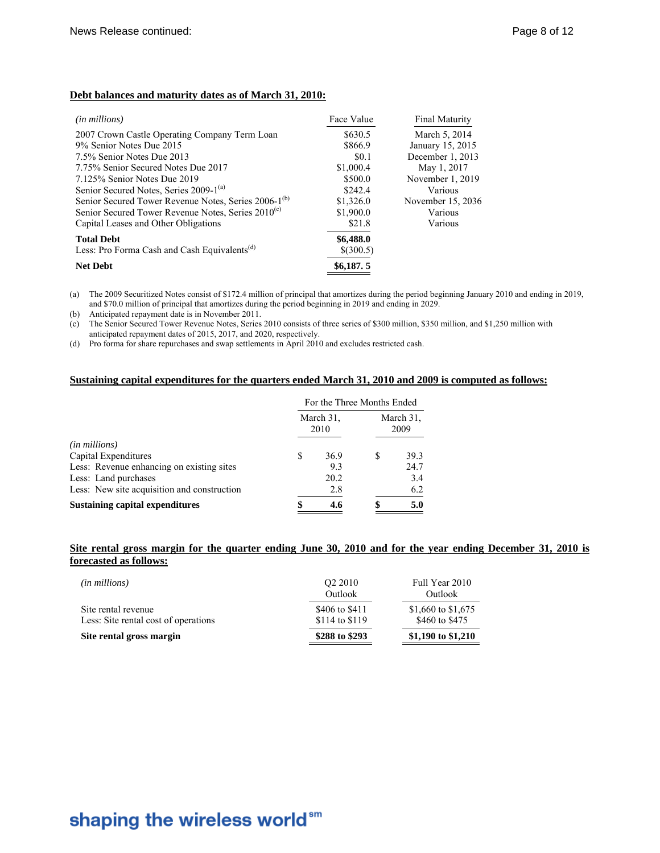### **Debt balances and maturity dates as of March 31, 2010:**

| ( <i>in millions</i> )                                           | Face Value  | Final Maturity    |
|------------------------------------------------------------------|-------------|-------------------|
| 2007 Crown Castle Operating Company Term Loan                    | \$630.5     | March 5, 2014     |
| 9% Senior Notes Due 2015                                         | \$866.9     | January 15, 2015  |
| 7.5% Senior Notes Due 2013                                       | \$0.1       | December 1, 2013  |
| 7.75% Senior Secured Notes Due 2017                              | \$1,000.4   | May 1, 2017       |
| 7.125% Senior Notes Due 2019                                     | \$500.0     | November 1, 2019  |
| Senior Secured Notes, Series 2009-1 <sup>(a)</sup>               | \$242.4     | Various           |
| Senior Secured Tower Revenue Notes, Series 2006-1 <sup>(b)</sup> | \$1,326.0   | November 15, 2036 |
| Senior Secured Tower Revenue Notes, Series 2010 <sup>(c)</sup>   | \$1,900.0   | Various           |
| Capital Leases and Other Obligations                             | \$21.8      | Various           |
| <b>Total Debt</b>                                                | \$6,488.0   |                   |
| Less: Pro Forma Cash and Cash Equivalents <sup>(d)</sup>         | $$$ (300.5) |                   |
| <b>Net Debt</b>                                                  | \$6,187,5   |                   |

(a) The 2009 Securitized Notes consist of \$172.4 million of principal that amortizes during the period beginning January 2010 and ending in 2019, and \$70.0 million of principal that amortizes during the period beginning in 2019 and ending in 2029.

(b) Anticipated repayment date is in November 2011.

(c) The Senior Secured Tower Revenue Notes, Series 2010 consists of three series of \$300 million, \$350 million, and \$1,250 million with anticipated repayment dates of 2015, 2017, and 2020, respectively.

(d) Pro forma for share repurchases and swap settlements in April 2010 and excludes restricted cash.

#### **Sustaining capital expenditures for the quarters ended March 31, 2010 and 2009 is computed as follows:**

|                                             | For the Three Months Ended |      |                   |      |  |
|---------------------------------------------|----------------------------|------|-------------------|------|--|
|                                             | March 31.<br>2010          |      | March 31.<br>2009 |      |  |
| ( <i>in millions</i> )                      |                            |      |                   |      |  |
| Capital Expenditures                        | S                          | 36.9 | S                 | 39.3 |  |
| Less: Revenue enhancing on existing sites   |                            | 9.3  |                   | 24.7 |  |
| Less: Land purchases                        |                            | 20.2 |                   | 3.4  |  |
| Less: New site acquisition and construction |                            | 2.8  |                   | 6.2  |  |
| <b>Sustaining capital expenditures</b>      |                            | 4.6  |                   | 5.0  |  |

#### **Site rental gross margin for the quarter ending June 30, 2010 and for the year ending December 31, 2010 is forecasted as follows:**

| ( <i>in millions</i> )                                      | O <sub>2</sub> 2010<br>Outlook   | Full Year 2010<br>Outlook            |
|-------------------------------------------------------------|----------------------------------|--------------------------------------|
| Site rental revenue<br>Less: Site rental cost of operations | \$406 to \$411<br>\$114 to \$119 | \$1,660 to \$1,675<br>\$460 to \$475 |
| Site rental gross margin                                    | \$288 to \$293                   | \$1,190 to \$1,210                   |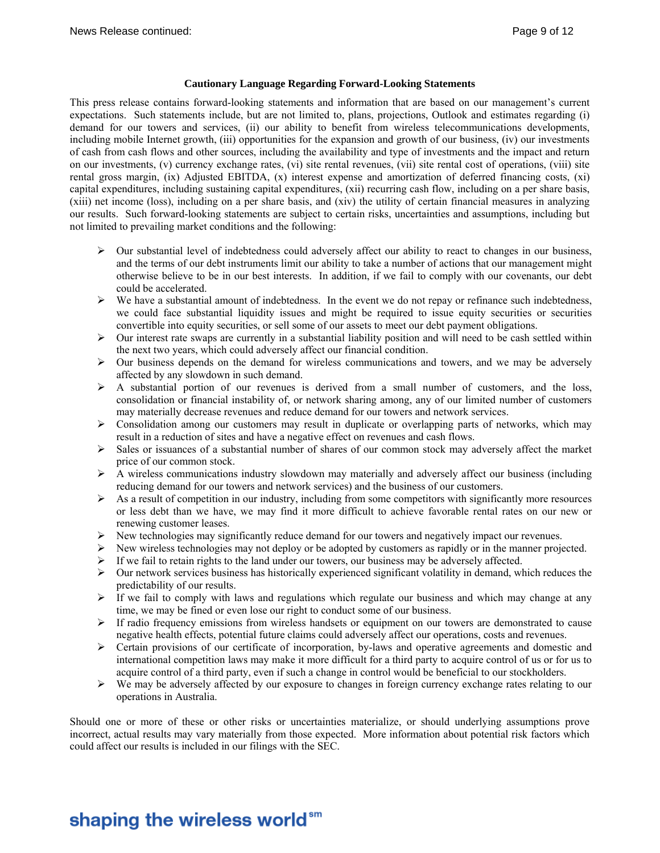#### **Cautionary Language Regarding Forward-Looking Statements**

This press release contains forward-looking statements and information that are based on our management's current expectations. Such statements include, but are not limited to, plans, projections, Outlook and estimates regarding (i) demand for our towers and services, (ii) our ability to benefit from wireless telecommunications developments, including mobile Internet growth, (iii) opportunities for the expansion and growth of our business, (iv) our investments of cash from cash flows and other sources, including the availability and type of investments and the impact and return on our investments, (v) currency exchange rates, (vi) site rental revenues, (vii) site rental cost of operations, (viii) site rental gross margin, (ix) Adjusted EBITDA, (x) interest expense and amortization of deferred financing costs, (xi) capital expenditures, including sustaining capital expenditures, (xii) recurring cash flow, including on a per share basis, (xiii) net income (loss), including on a per share basis, and (xiv) the utility of certain financial measures in analyzing our results. Such forward-looking statements are subject to certain risks, uncertainties and assumptions, including but not limited to prevailing market conditions and the following:

- $\triangleright$  Our substantial level of indebtedness could adversely affect our ability to react to changes in our business, and the terms of our debt instruments limit our ability to take a number of actions that our management might otherwise believe to be in our best interests. In addition, if we fail to comply with our covenants, our debt could be accelerated.
- ¾ We have a substantial amount of indebtedness. In the event we do not repay or refinance such indebtedness, we could face substantial liquidity issues and might be required to issue equity securities or securities convertible into equity securities, or sell some of our assets to meet our debt payment obligations.
- $\triangleright$  Our interest rate swaps are currently in a substantial liability position and will need to be cash settled within the next two years, which could adversely affect our financial condition.
- $\triangleright$  Our business depends on the demand for wireless communications and towers, and we may be adversely affected by any slowdown in such demand.
- $\triangleright$  A substantial portion of our revenues is derived from a small number of customers, and the loss, consolidation or financial instability of, or network sharing among, any of our limited number of customers may materially decrease revenues and reduce demand for our towers and network services.
- $\triangleright$  Consolidation among our customers may result in duplicate or overlapping parts of networks, which may result in a reduction of sites and have a negative effect on revenues and cash flows.
- $\triangleright$  Sales or issuances of a substantial number of shares of our common stock may adversely affect the market price of our common stock.
- ¾ A wireless communications industry slowdown may materially and adversely affect our business (including reducing demand for our towers and network services) and the business of our customers.
- $\triangleright$  As a result of competition in our industry, including from some competitors with significantly more resources or less debt than we have, we may find it more difficult to achieve favorable rental rates on our new or renewing customer leases.
- ¾ New technologies may significantly reduce demand for our towers and negatively impact our revenues.
- $\triangleright$  New wireless technologies may not deploy or be adopted by customers as rapidly or in the manner projected.
- $\triangleright$  If we fail to retain rights to the land under our towers, our business may be adversely affected.
- ¾ Our network services business has historically experienced significant volatility in demand, which reduces the predictability of our results.
- $\triangleright$  If we fail to comply with laws and regulations which regulate our business and which may change at any time, we may be fined or even lose our right to conduct some of our business.
- $\triangleright$  If radio frequency emissions from wireless handsets or equipment on our towers are demonstrated to cause negative health effects, potential future claims could adversely affect our operations, costs and revenues.
- $\triangleright$  Certain provisions of our certificate of incorporation, by-laws and operative agreements and domestic and international competition laws may make it more difficult for a third party to acquire control of us or for us to acquire control of a third party, even if such a change in control would be beneficial to our stockholders.
- $\triangleright$  We may be adversely affected by our exposure to changes in foreign currency exchange rates relating to our operations in Australia.

Should one or more of these or other risks or uncertainties materialize, or should underlying assumptions prove incorrect, actual results may vary materially from those expected. More information about potential risk factors which could affect our results is included in our filings with the SEC.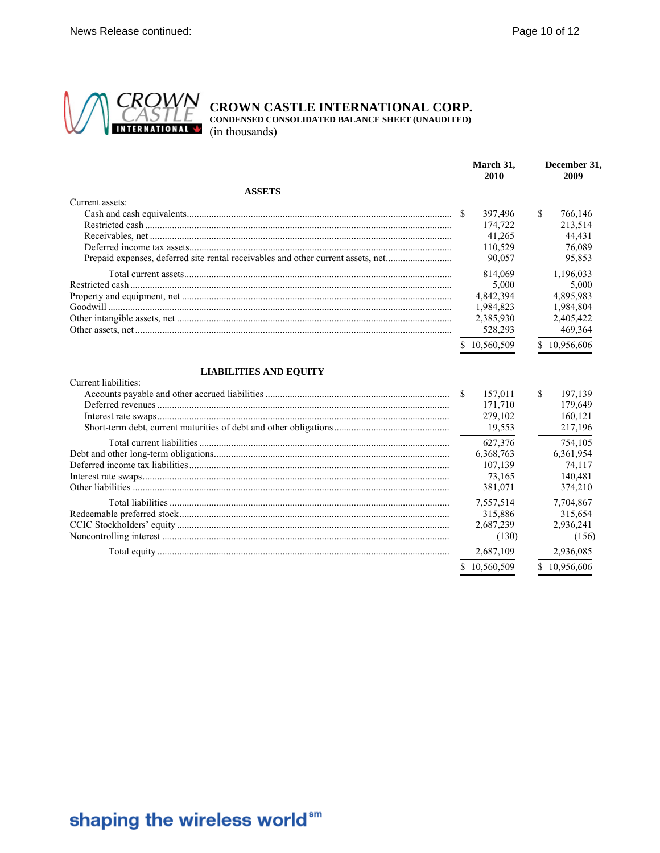

**CROWN**<br>CASTLE CROWN CASTLE INTERNATIONAL CORP.<br>INTERNATIONAL (in thousands)

| <b>ASSETS</b><br>Current assets:<br>\$<br>766,146<br>397,496<br>174,722<br>213,514<br>41,265<br>44,431<br>110,529<br>76,089<br>Prepaid expenses, deferred site rental receivables and other current assets, net<br>90,057<br>95,853<br>814,069<br>1,196,033<br>5,000<br>5,000<br>4,842,394<br>4,895,983<br>1,984,823<br>1,984,804<br>2,385,930<br>2,405,422<br>528,293<br>469,364<br>10,956,606<br>10,560,509<br><b>LIABILITIES AND EQUITY</b><br>Current liabilities:<br>\$<br>157,011<br>197,139<br>179.649<br>171,710<br>279,102<br>160,121<br>19,553<br>217,196<br>627,376<br>754,105<br>6,368,763<br>6,361,954<br>107,139<br>74,117<br>73,165<br>140,481<br>381,071<br>374,210<br>7,557,514<br>7,704,867<br>315,886<br>315,654<br>2,687,239<br>2,936,241<br>(130)<br>(156)<br>2,687,109<br>2,936,085<br>10,560,509<br>10,956,606 | March 31,<br>2010 | December 31,<br>2009 |
|---------------------------------------------------------------------------------------------------------------------------------------------------------------------------------------------------------------------------------------------------------------------------------------------------------------------------------------------------------------------------------------------------------------------------------------------------------------------------------------------------------------------------------------------------------------------------------------------------------------------------------------------------------------------------------------------------------------------------------------------------------------------------------------------------------------------------------------|-------------------|----------------------|
|                                                                                                                                                                                                                                                                                                                                                                                                                                                                                                                                                                                                                                                                                                                                                                                                                                       |                   |                      |
|                                                                                                                                                                                                                                                                                                                                                                                                                                                                                                                                                                                                                                                                                                                                                                                                                                       |                   |                      |
|                                                                                                                                                                                                                                                                                                                                                                                                                                                                                                                                                                                                                                                                                                                                                                                                                                       |                   |                      |
|                                                                                                                                                                                                                                                                                                                                                                                                                                                                                                                                                                                                                                                                                                                                                                                                                                       |                   |                      |
|                                                                                                                                                                                                                                                                                                                                                                                                                                                                                                                                                                                                                                                                                                                                                                                                                                       |                   |                      |
|                                                                                                                                                                                                                                                                                                                                                                                                                                                                                                                                                                                                                                                                                                                                                                                                                                       |                   |                      |
|                                                                                                                                                                                                                                                                                                                                                                                                                                                                                                                                                                                                                                                                                                                                                                                                                                       |                   |                      |
|                                                                                                                                                                                                                                                                                                                                                                                                                                                                                                                                                                                                                                                                                                                                                                                                                                       |                   |                      |
|                                                                                                                                                                                                                                                                                                                                                                                                                                                                                                                                                                                                                                                                                                                                                                                                                                       |                   |                      |
|                                                                                                                                                                                                                                                                                                                                                                                                                                                                                                                                                                                                                                                                                                                                                                                                                                       |                   |                      |
|                                                                                                                                                                                                                                                                                                                                                                                                                                                                                                                                                                                                                                                                                                                                                                                                                                       |                   |                      |
|                                                                                                                                                                                                                                                                                                                                                                                                                                                                                                                                                                                                                                                                                                                                                                                                                                       |                   |                      |
|                                                                                                                                                                                                                                                                                                                                                                                                                                                                                                                                                                                                                                                                                                                                                                                                                                       |                   |                      |
|                                                                                                                                                                                                                                                                                                                                                                                                                                                                                                                                                                                                                                                                                                                                                                                                                                       |                   |                      |
|                                                                                                                                                                                                                                                                                                                                                                                                                                                                                                                                                                                                                                                                                                                                                                                                                                       |                   |                      |
|                                                                                                                                                                                                                                                                                                                                                                                                                                                                                                                                                                                                                                                                                                                                                                                                                                       |                   |                      |
|                                                                                                                                                                                                                                                                                                                                                                                                                                                                                                                                                                                                                                                                                                                                                                                                                                       |                   |                      |
|                                                                                                                                                                                                                                                                                                                                                                                                                                                                                                                                                                                                                                                                                                                                                                                                                                       |                   |                      |
|                                                                                                                                                                                                                                                                                                                                                                                                                                                                                                                                                                                                                                                                                                                                                                                                                                       |                   |                      |
|                                                                                                                                                                                                                                                                                                                                                                                                                                                                                                                                                                                                                                                                                                                                                                                                                                       |                   |                      |
|                                                                                                                                                                                                                                                                                                                                                                                                                                                                                                                                                                                                                                                                                                                                                                                                                                       |                   |                      |
|                                                                                                                                                                                                                                                                                                                                                                                                                                                                                                                                                                                                                                                                                                                                                                                                                                       |                   |                      |
|                                                                                                                                                                                                                                                                                                                                                                                                                                                                                                                                                                                                                                                                                                                                                                                                                                       |                   |                      |
|                                                                                                                                                                                                                                                                                                                                                                                                                                                                                                                                                                                                                                                                                                                                                                                                                                       |                   |                      |
|                                                                                                                                                                                                                                                                                                                                                                                                                                                                                                                                                                                                                                                                                                                                                                                                                                       |                   |                      |
|                                                                                                                                                                                                                                                                                                                                                                                                                                                                                                                                                                                                                                                                                                                                                                                                                                       |                   |                      |
|                                                                                                                                                                                                                                                                                                                                                                                                                                                                                                                                                                                                                                                                                                                                                                                                                                       |                   |                      |
|                                                                                                                                                                                                                                                                                                                                                                                                                                                                                                                                                                                                                                                                                                                                                                                                                                       |                   |                      |
|                                                                                                                                                                                                                                                                                                                                                                                                                                                                                                                                                                                                                                                                                                                                                                                                                                       |                   |                      |
|                                                                                                                                                                                                                                                                                                                                                                                                                                                                                                                                                                                                                                                                                                                                                                                                                                       |                   |                      |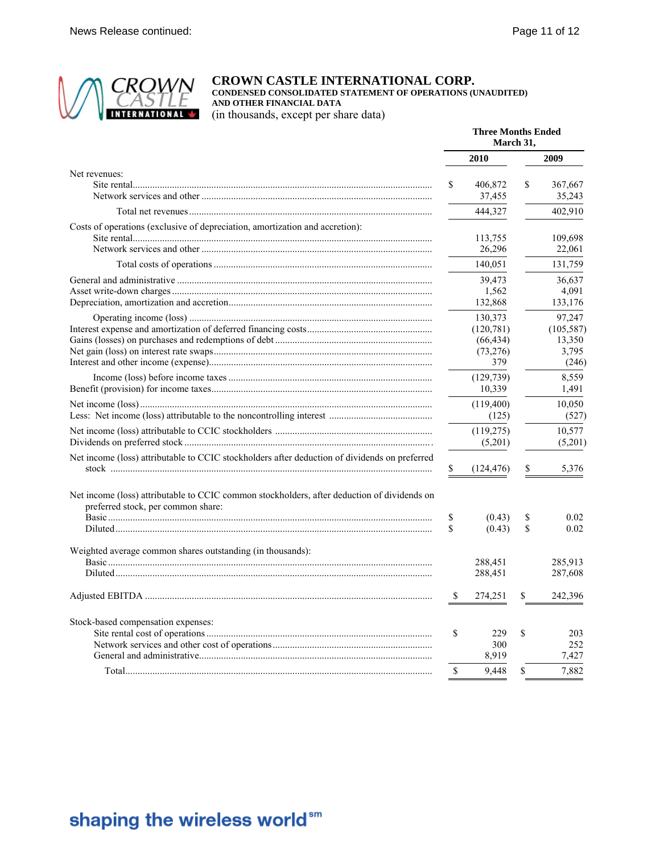

### **CROWN CASTLE INTERNATIONAL CORP.**

**CONDENSED CONSOLIDATED STATEMENT OF OPERATIONS (UNAUDITED) AND OTHER FINANCIAL DATA**

(in thousands, except per share data)

|                                                                                                                                   | <b>Three Months Ended</b><br>March 31, |                                                       |          |                                                  |
|-----------------------------------------------------------------------------------------------------------------------------------|----------------------------------------|-------------------------------------------------------|----------|--------------------------------------------------|
|                                                                                                                                   |                                        | 2010                                                  |          | 2009                                             |
| Net revenues:                                                                                                                     | S                                      | 406,872<br>37,455                                     | \$       | 367,667<br>35,243                                |
|                                                                                                                                   |                                        | 444,327                                               |          | 402,910                                          |
| Costs of operations (exclusive of depreciation, amortization and accretion):                                                      |                                        | 113,755<br>26,296                                     |          | 109,698<br>22,061                                |
|                                                                                                                                   |                                        | 140,051                                               |          | 131,759                                          |
|                                                                                                                                   |                                        | 39,473<br>1,562<br>132,868                            |          | 36,637<br>4,091<br>133,176                       |
|                                                                                                                                   |                                        | 130,373<br>(120, 781)<br>(66, 434)<br>(73,276)<br>379 |          | 97,247<br>(105, 587)<br>13,350<br>3,795<br>(246) |
|                                                                                                                                   |                                        | (129, 739)<br>10,339                                  |          | 8,559<br>1,491                                   |
|                                                                                                                                   |                                        | (119,400)<br>(125)                                    |          | 10,050<br>(527)                                  |
|                                                                                                                                   |                                        | (119, 275)<br>(5,201)                                 |          | 10,577<br>(5,201)                                |
| Net income (loss) attributable to CCIC stockholders after deduction of dividends on preferred                                     | \$                                     | (124, 476)                                            | \$       | 5,376                                            |
| Net income (loss) attributable to CCIC common stockholders, after deduction of dividends on<br>preferred stock, per common share: |                                        |                                                       |          |                                                  |
|                                                                                                                                   | \$<br>S                                | (0.43)<br>(0.43)                                      | \$<br>\$ | 0.02<br>0.02                                     |
| Weighted average common shares outstanding (in thousands):                                                                        |                                        | 288,451<br>288,451                                    |          | 285,913<br>287,608                               |
|                                                                                                                                   | S                                      | 274,251                                               | \$       | 242,396                                          |
| Stock-based compensation expenses:                                                                                                | \$                                     | 229<br>300<br>8.919                                   | \$       | 203<br>252<br>7.427                              |
|                                                                                                                                   | \$                                     | 9,448                                                 | \$       | 7,882                                            |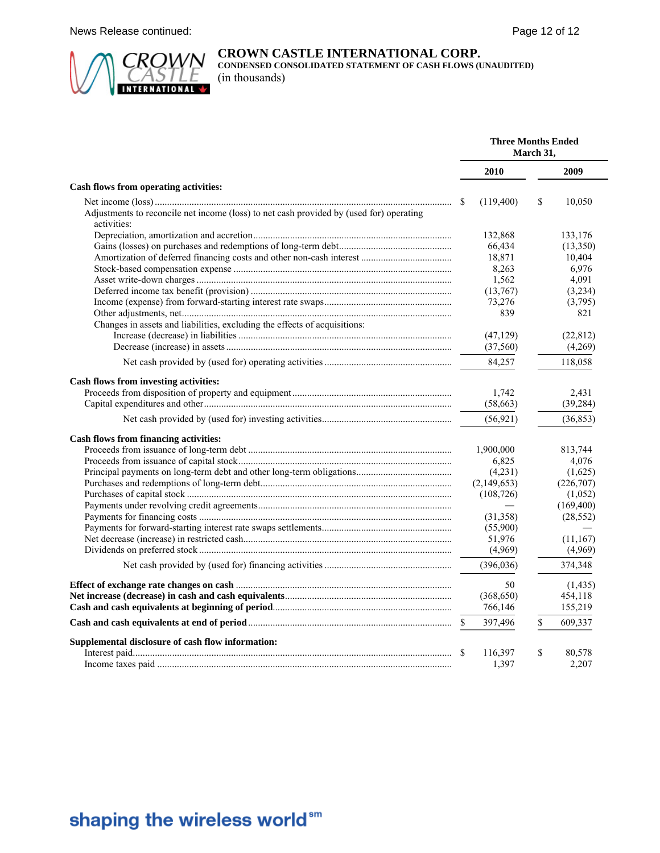

### **CROWN CASTLE INTERNATIONAL CORP.**

**CONDENSED CONSOLIDATED STATEMENT OF CASH FLOWS (UNAUDITED)** (in thousands)

|                                                                                                        | <b>Three Months Ended</b><br>March 31, |             |    |            |
|--------------------------------------------------------------------------------------------------------|----------------------------------------|-------------|----|------------|
|                                                                                                        |                                        | 2010        |    | 2009       |
| Cash flows from operating activities:                                                                  |                                        |             |    |            |
|                                                                                                        | S                                      | (119, 400)  | S  | 10,050     |
| Adjustments to reconcile net income (loss) to net cash provided by (used for) operating<br>activities: |                                        |             |    |            |
|                                                                                                        |                                        | 132,868     |    | 133,176    |
|                                                                                                        |                                        | 66,434      |    | (13,350)   |
|                                                                                                        |                                        | 18,871      |    | 10,404     |
|                                                                                                        |                                        | 8,263       |    | 6,976      |
|                                                                                                        |                                        | 1,562       |    | 4,091      |
|                                                                                                        |                                        | (13,767)    |    | (3,234)    |
|                                                                                                        |                                        | 73,276      |    | (3,795)    |
|                                                                                                        |                                        | 839         |    | 821        |
| Changes in assets and liabilities, excluding the effects of acquisitions:                              |                                        |             |    |            |
|                                                                                                        |                                        | (47, 129)   |    | (22, 812)  |
|                                                                                                        |                                        | (37, 560)   |    | (4,269)    |
|                                                                                                        |                                        | 84,257      |    | 118,058    |
| Cash flows from investing activities:                                                                  |                                        |             |    |            |
|                                                                                                        |                                        | 1,742       |    | 2,431      |
|                                                                                                        |                                        | (58, 663)   |    | (39, 284)  |
|                                                                                                        |                                        | (56, 921)   |    | (36, 853)  |
| <b>Cash flows from financing activities:</b>                                                           |                                        |             |    |            |
|                                                                                                        |                                        | 1,900,000   |    | 813,744    |
|                                                                                                        |                                        | 6,825       |    | 4,076      |
|                                                                                                        |                                        | (4,231)     |    | (1,625)    |
|                                                                                                        |                                        | (2,149,653) |    | (226, 707) |
|                                                                                                        |                                        | (108, 726)  |    | (1,052)    |
|                                                                                                        |                                        |             |    | (169, 400) |
|                                                                                                        |                                        | (31,358)    |    | (28, 552)  |
|                                                                                                        |                                        | (55,900)    |    |            |
|                                                                                                        |                                        | 51,976      |    | (11, 167)  |
|                                                                                                        |                                        | (4,969)     |    | (4,969)    |
|                                                                                                        |                                        | (396, 036)  |    | 374,348    |
|                                                                                                        |                                        | 50          |    | (1, 435)   |
|                                                                                                        |                                        | (368, 650)  |    | 454,118    |
|                                                                                                        |                                        | 766,146     |    | 155,219    |
|                                                                                                        | \$                                     | 397,496     | \$ | 609,337    |
| Supplemental disclosure of cash flow information:                                                      |                                        |             |    |            |
|                                                                                                        | S                                      | 116,397     | \$ | 80,578     |
|                                                                                                        |                                        | 1.397       |    | 2,207      |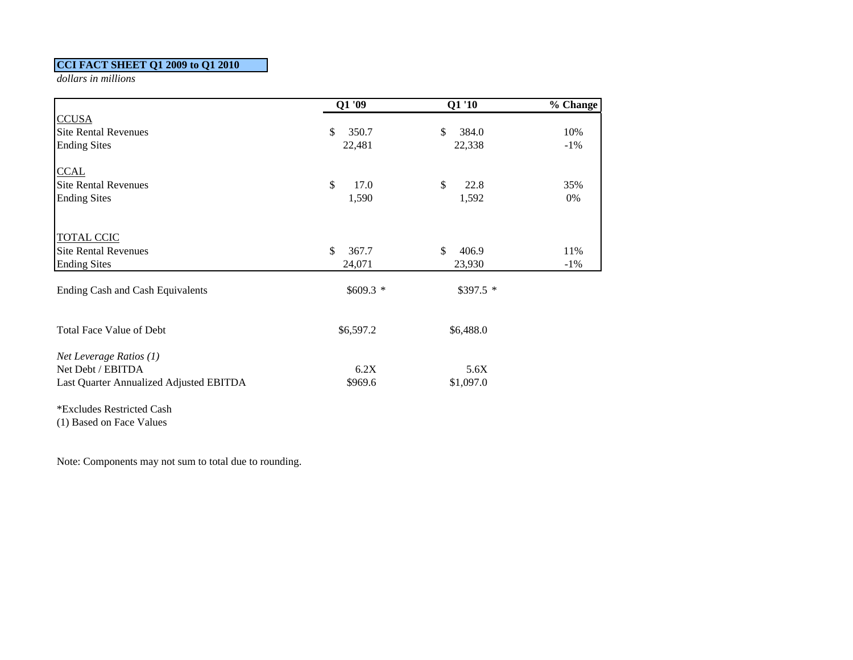### **CCI FACT SHEET Q1 2009 to Q1 2010**

*dollars in millions*

|                                         | $Q1\overline{09}$ | Q1'10       | % Change |
|-----------------------------------------|-------------------|-------------|----------|
| <b>CCUSA</b>                            |                   |             |          |
| <b>Site Rental Revenues</b>             | \$<br>350.7       | 384.0<br>\$ | 10%      |
| <b>Ending Sites</b>                     | 22,481            | 22,338      | $-1\%$   |
| <b>CCAL</b>                             |                   |             |          |
| <b>Site Rental Revenues</b>             | \$<br>17.0        | \$<br>22.8  | 35%      |
| <b>Ending Sites</b>                     | 1,590             | 1,592       | 0%       |
| <b>TOTAL CCIC</b>                       |                   |             |          |
| <b>Site Rental Revenues</b>             | \$<br>367.7       | \$<br>406.9 | 11%      |
| <b>Ending Sites</b>                     | 24,071            | 23,930      | $-1\%$   |
| <b>Ending Cash and Cash Equivalents</b> | $$609.3$ *        | $$397.5$ *  |          |
| Total Face Value of Debt                | \$6,597.2         | \$6,488.0   |          |
| Net Leverage Ratios $(1)$               |                   |             |          |
| Net Debt / EBITDA                       | 6.2X              | 5.6X        |          |
| Last Quarter Annualized Adjusted EBITDA | \$969.6           | \$1,097.0   |          |
| *Excludes Restricted Cash               |                   |             |          |
| (1) Based on Face Values                |                   |             |          |

Note: Components may not sum to total due to rounding.